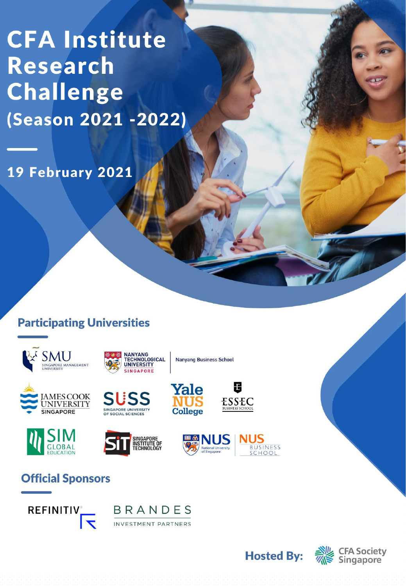# **CFA Institute Research Challenge** (Season 2021 - 2022)

19 February 2021

## **Participating Universities**













**SINGAPORE INSTITUTE OF**<br>TECHNOLOGY



**Nanyang Business School** 



## **Official Sponsors**







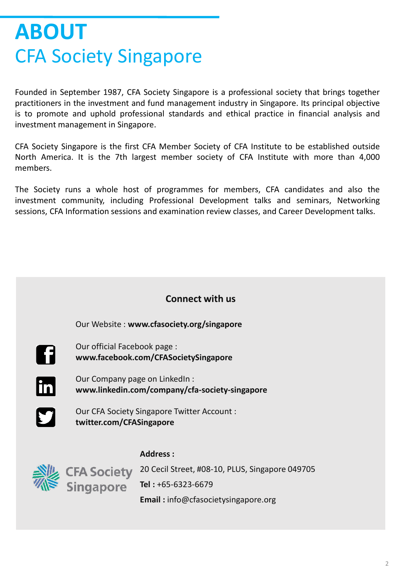## **ABOUT** CFA Society Singapore

Founded in September 1987, CFA Society Singapore is a professional society that brings together practitioners in the investment and fund management industry in Singapore. Its principal objective is to promote and uphold professional standards and ethical practice in financial analysis and investment management in Singapore.

CFA Society Singapore is the first CFA Member Society of CFA Institute to be established outside North America. It is the 7th largest member society of CFA Institute with more than 4,000 members.

The Society runs a whole host of programmes for members, CFA candidates and also the investment community, including Professional Development talks and seminars, Networking sessions, CFA Information sessions and examination review classes, and Career Development talks.

|     | <b>Connect with us</b>          |                                                                                                                                        |  |  |  |  |
|-----|---------------------------------|----------------------------------------------------------------------------------------------------------------------------------------|--|--|--|--|
|     |                                 | Our Website: www.cfasociety.org/singapore                                                                                              |  |  |  |  |
| Ki  |                                 | Our official Facebook page:<br>www.facebook.com/CFASocietySingapore                                                                    |  |  |  |  |
| lin |                                 | Our Company page on LinkedIn :<br>www.linkedin.com/company/cfa-society-singapore                                                       |  |  |  |  |
| y   |                                 | Our CFA Society Singapore Twitter Account :<br>twitter.com/CFASingapore                                                                |  |  |  |  |
|     | <b>CFA Society</b><br>Singapore | <b>Address:</b><br>20 Cecil Street, #08-10, PLUS, Singapore 049705<br>Tel: +65-6323-6679<br><b>Email:</b> info@cfasocietysingapore.org |  |  |  |  |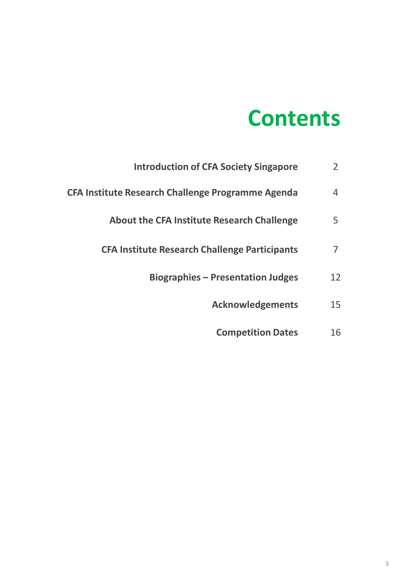## **Contents**

| <b>Introduction of CFA Society Singapore</b>             |    |
|----------------------------------------------------------|----|
| <b>CFA Institute Research Challenge Programme Agenda</b> | 4  |
| <b>About the CFA Institute Research Challenge</b>        | 5. |
| <b>CFA Institute Research Challenge Participants</b>     |    |
| <b>Biographies – Presentation Judges</b>                 | 12 |
| <b>Acknowledgements</b>                                  | 15 |
| <b>Competition Dates</b>                                 | 16 |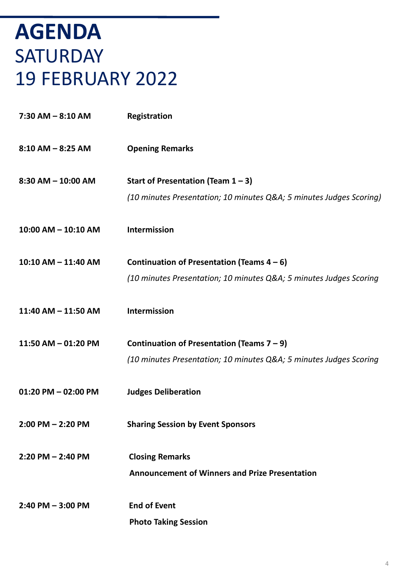## **AGENDA SATURDAY** 19 FEBRUARY 2022

| $7:30$ AM $-$ 8:10 AM  | Registration                                                       |
|------------------------|--------------------------------------------------------------------|
| $8:10$ AM $-$ 8:25 AM  | <b>Opening Remarks</b>                                             |
| $8:30$ AM $-$ 10:00 AM | Start of Presentation (Team $1 - 3$ )                              |
|                        | (10 minutes Presentation; 10 minutes Q&A 5 minutes Judges Scoring) |
| 10:00 AM - 10:10 AM    | Intermission                                                       |
| 10:10 AM - 11:40 AM    | Continuation of Presentation (Teams $4-6$ )                        |
|                        | (10 minutes Presentation; 10 minutes Q&A 5 minutes Judges Scoring  |
| 11:40 AM - 11:50 AM    | Intermission                                                       |
| 11:50 AM - 01:20 PM    | Continuation of Presentation (Teams $7 - 9$ )                      |
|                        | (10 minutes Presentation; 10 minutes Q&A 5 minutes Judges Scoring  |
| $01:20$ PM $-02:00$ PM | <b>Judges Deliberation</b>                                         |
| $2:00$ PM $- 2:20$ PM  | <b>Sharing Session by Event Sponsors</b>                           |
| $2:20$ PM $- 2:40$ PM  | <b>Closing Remarks</b>                                             |
|                        | <b>Announcement of Winners and Prize Presentation</b>              |
| $2:40$ PM $-3:00$ PM   | <b>End of Event</b>                                                |
|                        | <b>Photo Taking Session</b>                                        |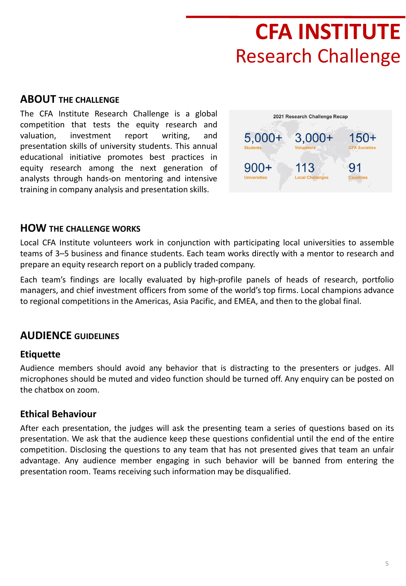## **CFA INSTITUTE**  Research Challenge

#### **ABOUT THE CHALLENGE**

The CFA Institute Research Challenge is a global competition that tests the equity research and valuation, investment report writing, and presentation skills of university students. This annual educational initiative promotes best practices in equity research among the next generation of analysts through hands-on mentoring and intensive training in company analysis and presentation skills.



#### **HOW THE CHALLENGE WORKS**

Local CFA Institute volunteers work in conjunction with participating local universities to assemble teams of 3–5 business and finance students. Each team works directly with a mentor to research and prepare an equity research report on a publicly traded company.

Each team's findings are locally evaluated by high-profile panels of heads of research, portfolio managers, and chief investment officers from some of the world's top firms. Local champions advance to regional competitions in the Americas, Asia Pacific, and EMEA, and then to the global final.

### **AUDIENCE GUIDELINES**

#### **Etiquette**

Audience members should avoid any behavior that is distracting to the presenters or judges. All microphones should be muted and video function should be turned off. Any enquiry can be posted on the chatbox on zoom.

#### **Ethical Behaviour**

After each presentation, the judges will ask the presenting team a series of questions based on its presentation. We ask that the audience keep these questions confidential until the end of the entire competition. Disclosing the questions to any team that has not presented gives that team an unfair advantage. Any audience member engaging in such behavior will be banned from entering the presentation room. Teams receiving such information may be disqualified.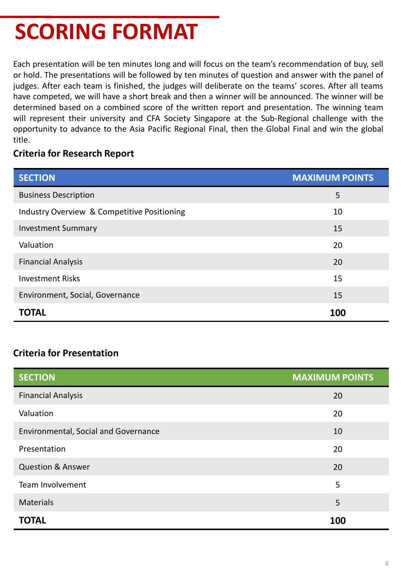# **SCORING FORMAT**

Each presentation will be ten minutes long and will focus on the team's recommendation of buy, sell or hold. The presentations will be followed by ten minutes of question and answer with the panel of judges. After each team is finished, the judges will deliberate on the teams' scores. After all teams have competed, we will have a short break and then a winner will be announced. The winner will be determined based on a combined score of the written report and presentation. The winning team will represent their university and CFA Society Singapore at the Sub-Regional challenge with the opportunity to advance to the Asia Pacific Regional Final, then the Global Final and win the global title.

#### **Criteria for Research Report**

| <b>SECTION</b>                              | <b>MAXIMUM POINTS</b> |
|---------------------------------------------|-----------------------|
| <b>Business Description</b>                 | 5                     |
| Industry Overview & Competitive Positioning | 10                    |
| <b>Investment Summary</b>                   | 15                    |
| Valuation                                   | 20                    |
| <b>Financial Analysis</b>                   | 20                    |
| <b>Investment Risks</b>                     | 15                    |
| Environment, Social, Governance             | 15                    |
| <b>TOTAL</b>                                | 100                   |

#### **Criteria for Presentation**

| <b>SECTION</b>                       | <b>MAXIMUM POINTS</b> |
|--------------------------------------|-----------------------|
| <b>Financial Analysis</b>            | 20                    |
| Valuation                            | 20                    |
| Environmental, Social and Governance | 10                    |
| Presentation                         | 20                    |
| <b>Question &amp; Answer</b>         | 20                    |
| Team Involvement                     | 5                     |
| <b>Materials</b>                     | 5                     |
| <b>TOTAL</b>                         | 100                   |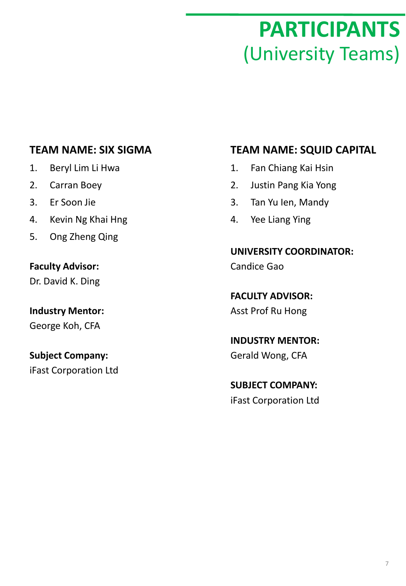## **TEAM NAME: SIX SIGMA**

- 1. Beryl Lim Li Hwa
- 2. Carran Boey
- 3. Er Soon Jie
- 4. Kevin Ng Khai Hng
- 5. Ong Zheng Qing

### **Faculty Advisor:**

Dr. David K. Ding

## **Industry Mentor:**

George Koh, CFA

#### **Subject Company:**

iFast Corporation Ltd

## **TEAM NAME: SQUID CAPITAL**

- 1. Fan Chiang Kai Hsin
- 2. Justin Pang Kia Yong
- 3. Tan Yu Ien, Mandy
- 4. Yee Liang Ying

## **UNIVERSITY COORDINATOR:**

Candice Gao

**FACULTY ADVISOR:** Asst Prof Ru Hong

## **INDUSTRY MENTOR:**

Gerald Wong, CFA

**SUBJECT COMPANY:** iFast Corporation Ltd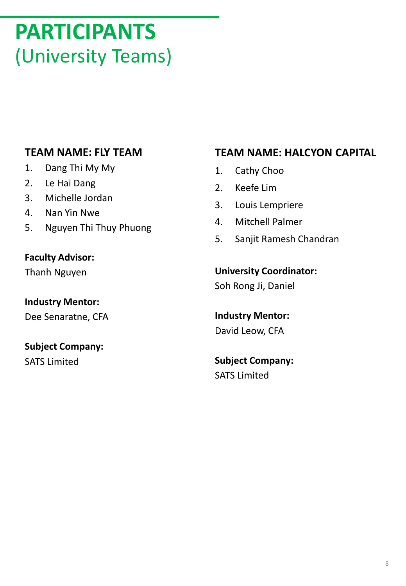### **TEAM NAME: FLY TEAM**

- 1. Dang Thi My My
- 2. Le Hai Dang
- 3. Michelle Jordan
- 4. Nan Yin Nwe
- 5. Nguyen Thi Thuy Phuong

**Faculty Advisor:** Thanh Nguyen

**Industry Mentor:**

Dee Senaratne, CFA

### **Subject Company:**

SATS Limited

### **TEAM NAME: HALCYON CAPITAL**

- 1. Cathy Choo
- 2. Keefe Lim
- 3. Louis Lempriere
- 4. Mitchell Palmer
- 5. Sanjit Ramesh Chandran

### **University Coordinator:**

Soh Rong Ji, Daniel

**Industry Mentor:** David Leow, CFA

### **Subject Company:** SATS Limited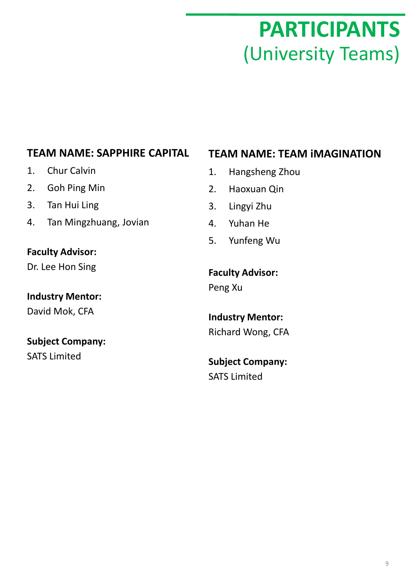### **TEAM NAME: SAPPHIRE CAPITAL**

- 1. Chur Calvin
- 2. Goh Ping Min
- 3. Tan Hui Ling
- 4. Tan Mingzhuang, Jovian

### **Faculty Advisor:**

Dr. Lee Hon Sing

## **Industry Mentor:**

David Mok, CFA

### **Subject Company:**

SATS Limited

### **TEAM NAME: TEAM iMAGINATION**

- 1. Hangsheng Zhou
- 2. Haoxuan Qin
- 3. Lingyi Zhu
- 4. Yuhan He
- 5. Yunfeng Wu

## **Faculty Advisor:**

Peng Xu

### **Industry Mentor:** Richard Wong, CFA

#### **Subject Company:** SATS Limited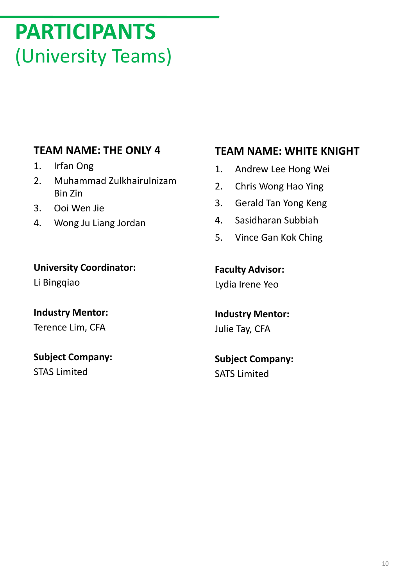## **TEAM NAME: THE ONLY 4**

- 1. Irfan Ong
- 2. Muhammad Zulkhairulnizam Bin Zin
- 3. Ooi Wen Jie
- 4. Wong Ju Liang Jordan

### **University Coordinator:** Li Bingqiao

**Industry Mentor:** Terence Lim, CFA

**Subject Company:** STAS Limited

### **TEAM NAME: WHITE KNIGHT**

- 1. Andrew Lee Hong Wei
- 2. Chris Wong Hao Ying
- 3. Gerald Tan Yong Keng
- 4. Sasidharan Subbiah
- 5. Vince Gan Kok Ching

**Faculty Advisor:** Lydia Irene Yeo

**Industry Mentor:** Julie Tay, CFA

**Subject Company:** SATS Limited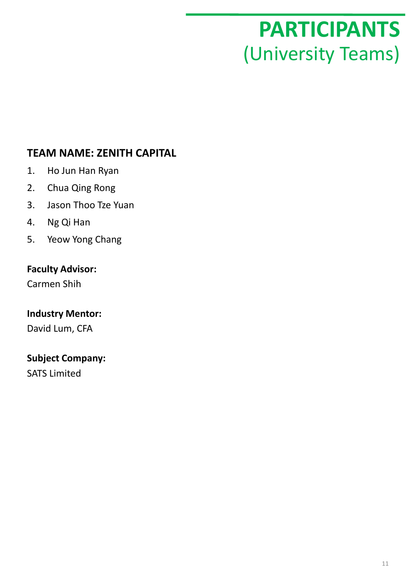## **TEAM NAME: ZENITH CAPITAL**

- 1. Ho Jun Han Ryan
- 2. Chua Qing Rong
- 3. Jason Thoo Tze Yuan
- 4. Ng Qi Han
- 5. Yeow Yong Chang

#### **Faculty Advisor:**

Carmen Shih

#### **Industry Mentor:**

David Lum, CFA

#### **Subject Company:**

SATS Limited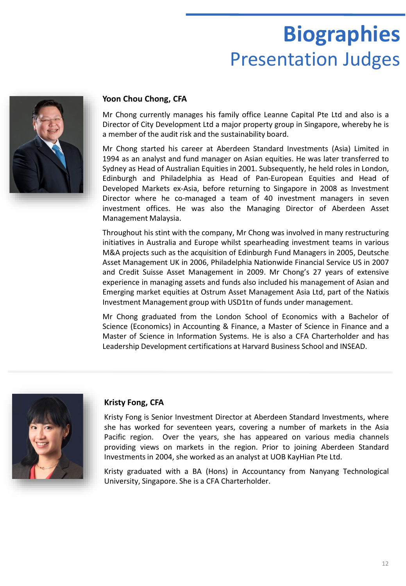## **Biographies** Presentation Judges



#### **Yoon Chou Chong, CFA**

Mr Chong currently manages his family office Leanne Capital Pte Ltd and also is a Director of City Development Ltd a major property group in Singapore, whereby he is a member of the audit risk and the sustainability board.

Mr Chong started his career at Aberdeen Standard Investments (Asia) Limited in 1994 as an analyst and fund manager on Asian equities. He was later transferred to Sydney as Head of Australian Equities in 2001. Subsequently, he held roles in London, Edinburgh and Philadelphia as Head of Pan-European Equities and Head of Developed Markets ex-Asia, before returning to Singapore in 2008 as Investment Director where he co-managed a team of 40 investment managers in seven investment offices. He was also the Managing Director of Aberdeen Asset Management Malaysia.

Throughout his stint with the company, Mr Chong was involved in many restructuring initiatives in Australia and Europe whilst spearheading investment teams in various M&A projects such as the acquisition of Edinburgh Fund Managers in 2005, Deutsche Asset Management UK in 2006, Philadelphia Nationwide Financial Service US in 2007 and Credit Suisse Asset Management in 2009. Mr Chong's 27 years of extensive experience in managing assets and funds also included his management of Asian and Emerging market equities at Ostrum Asset Management Asia Ltd, part of the Natixis Investment Management group with USD1tn of funds under management.

Mr Chong graduated from the London School of Economics with a Bachelor of Science (Economics) in Accounting & Finance, a Master of Science in Finance and a Master of Science in Information Systems. He is also a CFA Charterholder and has Leadership Development certifications at Harvard Business School and INSEAD.



#### **Kristy Fong, CFA**

Kristy Fong is Senior Investment Director at Aberdeen Standard Investments, where she has worked for seventeen years, covering a number of markets in the Asia Pacific region. Over the years, she has appeared on various media channels providing views on markets in the region. Prior to joining Aberdeen Standard Investmentsin 2004, she worked as an analyst at UOB KayHian Pte Ltd.

Kristy graduated with a BA (Hons) in Accountancy from Nanyang Technological University, Singapore. She is a CFA Charterholder.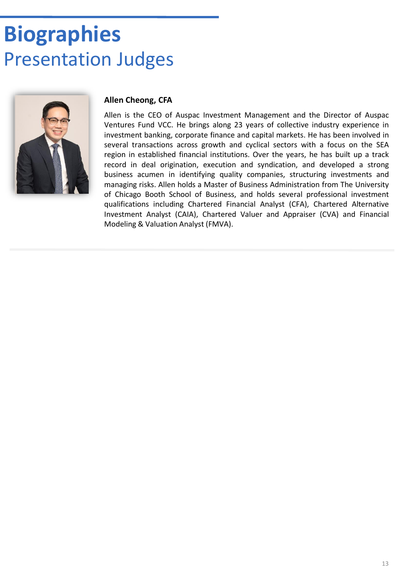## **Biographies** Presentation Judges



#### **Allen Cheong, CFA**

Allen is the CEO of Auspac Investment Management and the Director of Auspac Ventures Fund VCC. He brings along 23 years of collective industry experience in investment banking, corporate finance and capital markets. He has been involved in several transactions across growth and cyclical sectors with a focus on the SEA region in established financial institutions. Over the years, he has built up a track record in deal origination, execution and syndication, and developed a strong business acumen in identifying quality companies, structuring investments and managing risks. Allen holds a Master of Business Administration from The University of Chicago Booth School of Business, and holds several professional investment qualifications including Chartered Financial Analyst (CFA), Chartered Alternative Investment Analyst (CAIA), Chartered Valuer and Appraiser (CVA) and Financial Modeling & Valuation Analyst (FMVA).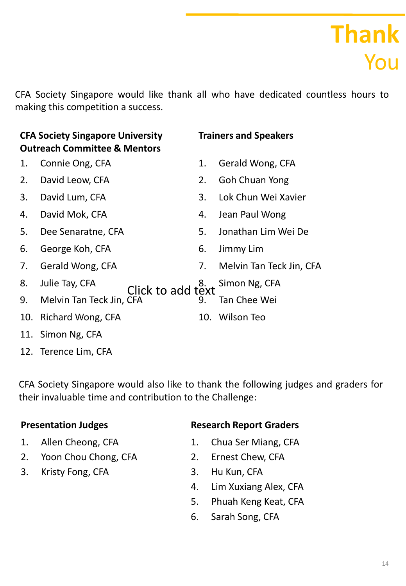CFA Society Singapore would like thank all who have dedicated countless hours to making this competition a success.

| <b>CFA Society Singapore University</b> |                                     |    | <b>Trainers and Speakers</b> |  |  |  |  |
|-----------------------------------------|-------------------------------------|----|------------------------------|--|--|--|--|
| <b>Outreach Committee &amp; Mentors</b> |                                     |    |                              |  |  |  |  |
| 1.                                      | Connie Ong, CFA                     | 1. | Gerald Wong, CFA             |  |  |  |  |
| 2.                                      | David Leow, CFA                     | 2. | Goh Chuan Yong               |  |  |  |  |
| 3.                                      | David Lum, CFA                      | 3. | Lok Chun Wei Xavier          |  |  |  |  |
| 4.                                      | David Mok, CFA                      | 4. | Jean Paul Wong               |  |  |  |  |
| 5.                                      | Dee Senaratne, CFA                  | 5. | Jonathan Lim Wei De          |  |  |  |  |
| 6.                                      | George Koh, CFA                     | 6. | Jimmy Lim                    |  |  |  |  |
| 7.                                      | Gerald Wong, CFA                    | 7. | Melvin Tan Teck Jin, CFA     |  |  |  |  |
| 8.                                      | Julie Tay, CFA<br>Click to add text | 8. | Simon Ng, CFA                |  |  |  |  |
| 9.                                      | Melvin Tan Teck Jin, CFA            | 9. | Tan Chee Wei                 |  |  |  |  |
| 10.                                     | Richard Wong, CFA                   |    | 10. Wilson Teo               |  |  |  |  |
|                                         | 11. Simon Ng, CFA                   |    |                              |  |  |  |  |
|                                         | 12. Terence Lim, CFA                |    |                              |  |  |  |  |

CFA Society Singapore would also like to thank the following judges and graders for their invaluable time and contribution to the Challenge:

### **Presentation Judges**

- 1. Allen Cheong, CFA
- 2. Yoon Chou Chong, CFA
- 3. Kristy Fong, CFA
- **Research Report Graders**
- 1. Chua Ser Miang, CFA
- 2. Ernest Chew, CFA
- 3. Hu Kun, CFA
- 4. Lim Xuxiang Alex, CFA
- 5. Phuah Keng Keat, CFA
- 6. Sarah Song, CFA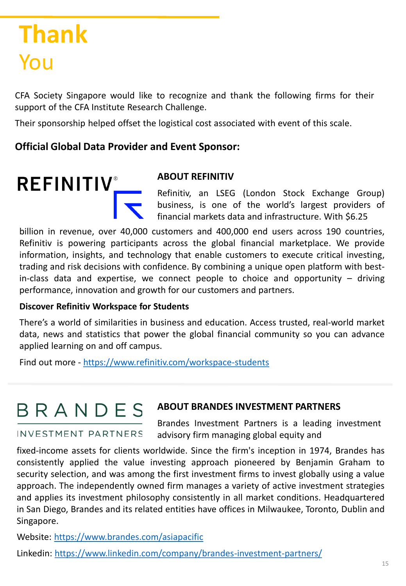# **Thank**  You

CFA Society Singapore would like to recognize and thank the following firms for their support of the CFA Institute Research Challenge.

Their sponsorship helped offset the logistical cost associated with event of this scale.

### **Official Global Data Provider and Event Sponsor:**

#### **ABOUT REFINITIV**

REFINITIV Refinitiv, an LSEG (London Stock Exchange Group) business, is one of the world's largest providers of financial markets data and infrastructure. With \$6.25

billion in revenue, over 40,000 customers and 400,000 end users across 190 countries, Refinitiv is powering participants across the global financial marketplace. We provide information, insights, and technology that enable customers to execute critical investing, trading and risk decisions with confidence. By combining a unique open platform with bestin-class data and expertise, we connect people to choice and opportunity – driving performance, innovation and growth for our customers and partners.

#### **Discover Refinitiv Workspace for Students**

There's a world of similarities in business and education. Access trusted, real-world market data, news and statistics that power the global financial community so you can advance applied learning on and off campus.

Find out more - <https://www.refinitiv.com/workspace-students>

## BRANDES

#### **ABOUT BRANDES INVESTMENT PARTNERS**

#### **INVESTMENT PARTNERS**

Brandes Investment Partners is a leading investment advisory firm managing global equity and

fixed-income assets for clients worldwide. Since the firm's inception in 1974, Brandes has consistently applied the value investing approach pioneered by Benjamin Graham to security selection, and was among the first investment firms to invest globally using a value approach. The independently owned firm manages a variety of active investment strategies and applies its investment philosophy consistently in all market conditions. Headquartered in San Diego, Brandes and its related entities have offices in Milwaukee, Toronto, Dublin and Singapore.

Website: <https://www.brandes.com/asiapacific>

Linkedin: <https://www.linkedin.com/company/brandes-investment-partners/>